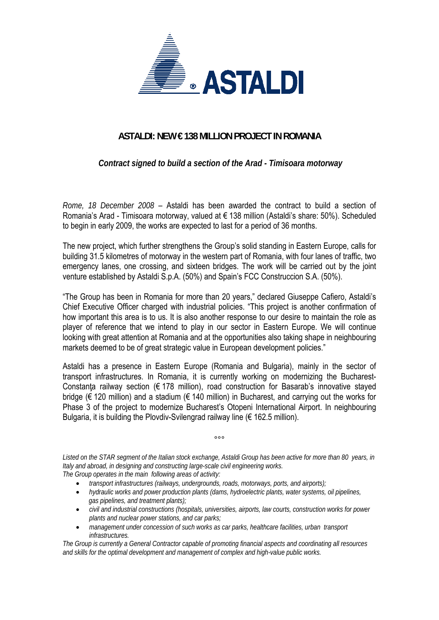

## **ASTALDI: NEW € 138 MILLION PROJECT IN ROMANIA**

 *Contract signed to build a section of the Arad - Timisoara motorway* 

*Rome, 18 December 2008* – Astaldi has been awarded the contract to build a section of Romania's Arad - Timisoara motorway, valued at € 138 million (Astaldi's share: 50%). Scheduled to begin in early 2009, the works are expected to last for a period of 36 months.

The new project, which further strengthens the Group's solid standing in Eastern Europe, calls for building 31.5 kilometres of motorway in the western part of Romania, with four lanes of traffic, two emergency lanes, one crossing, and sixteen bridges. The work will be carried out by the joint venture established by Astaldi S.p.A. (50%) and Spain's FCC Construccion S.A. (50%).

"The Group has been in Romania for more than 20 years," declared Giuseppe Cafiero, Astaldi's Chief Executive Officer charged with industrial policies. "This project is another confirmation of how important this area is to us. It is also another response to our desire to maintain the role as player of reference that we intend to play in our sector in Eastern Europe. We will continue looking with great attention at Romania and at the opportunities also taking shape in neighbouring markets deemed to be of great strategic value in European development policies."

Astaldi has a presence in Eastern Europe (Romania and Bulgaria), mainly in the sector of transport infrastructures. In Romania, it is currently working on modernizing the Bucharest-Constanta railway section ( $\epsilon$  178 million), road construction for Basarab's innovative stayed bridge (€ 120 million) and a stadium (€ 140 million) in Bucharest, and carrying out the works for Phase 3 of the project to modernize Bucharest's Otopeni International Airport. In neighbouring Bulgaria, it is building the Plovdiv-Svilengrad railway line ( $\epsilon$  162.5 million).

*Listed on the STAR segment of the Italian stock exchange, Astaldi Group has been active for more than 80 years, in Italy and abroad, in designing and constructing large-scale civil engineering works. The Group operates in the main following areas of activity:* 

 $000$ 

- *transport infrastructures (railways, undergrounds, roads, motorways, ports, and airports);*
- *hydraulic works and power production plants (dams, hydroelectric plants, water systems, oil pipelines, gas pipelines, and treatment plants);*
- *civil and industrial constructions (hospitals, universities, airports, law courts, construction works for power plants and nuclear power stations, and car parks;*
- *management under concession of such works as car parks, healthcare facilities, urban transport infrastructures.*

*The Group is currently a General Contractor capable of promoting financial aspects and coordinating all resources and skills for the optimal development and management of complex and high-value public works.*